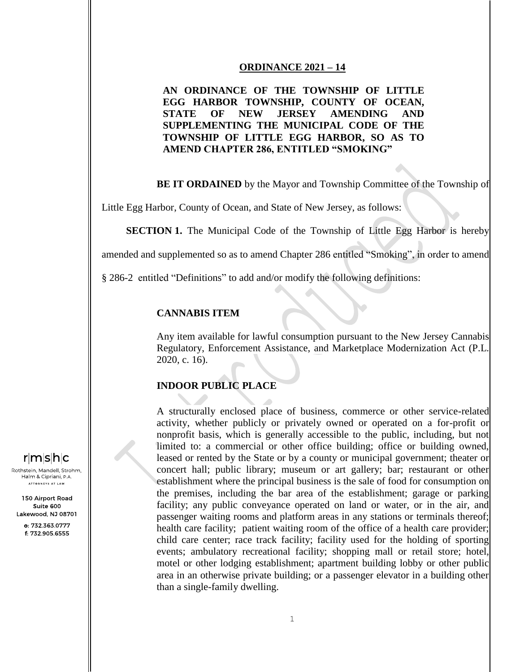#### **ORDINANCE 2021 – 14**

# **AN ORDINANCE OF THE TOWNSHIP OF LITTLE EGG HARBOR TOWNSHIP, COUNTY OF OCEAN, STATE OF NEW JERSEY AMENDING AND SUPPLEMENTING THE MUNICIPAL CODE OF THE TOWNSHIP OF LITTLE EGG HARBOR, SO AS TO AMEND CHAPTER 286, ENTITLED "SMOKING"**

**BE IT ORDAINED** by the Mayor and Township Committee of the Township of

Little Egg Harbor, County of Ocean, and State of New Jersey, as follows:

**SECTION 1.** The Municipal Code of the Township of Little Egg Harbor is hereby

amended and supplemented so as to amend Chapter 286 entitled "Smoking", in order to amend

§ 286-2 entitled "Definitions" to add and/or modify the following definitions:

### **CANNABIS ITEM**

Any item available for lawful consumption pursuant to the New Jersey Cannabis Regulatory, Enforcement Assistance, and Marketplace Modernization Act (P.L. 2020, c. 16).

### **INDOOR PUBLIC PLACE**

A structurally enclosed place of business, commerce or other service-related activity, whether publicly or privately owned or operated on a for-profit or nonprofit basis, which is generally accessible to the public, including, but not limited to: a commercial or other office building; office or building owned, leased or rented by the State or by a county or municipal government; theater or concert hall; public library; museum or art gallery; bar; restaurant or other establishment where the principal business is the sale of food for consumption on the premises, including the bar area of the establishment; garage or parking facility; any public conveyance operated on land or water, or in the air, and passenger waiting rooms and platform areas in any stations or terminals thereof; health care facility; patient waiting room of the office of a health care provider; child care center; race track facility; facility used for the holding of sporting events; ambulatory recreational facility; shopping mall or retail store; hotel, motel or other lodging establishment; apartment building lobby or other public area in an otherwise private building; or a passenger elevator in a building other than a single-family dwelling.

# $r|m|s|h|c$

Rothstein, Mandell, Strohm, Halm & Cipriani, P.A. .<br>ATTORNEYS AT LAW

150 Airport Road Suite 600 Lakewood, NJ 08701

> o: 732.363.0777 f: 732.905.6555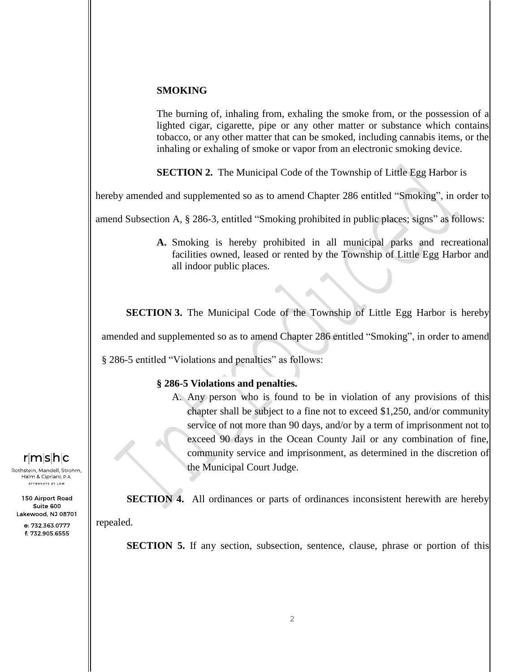### **SMOKING**

The burning of, inhaling from, exhaling the smoke from, or the possession of a lighted cigar, cigarette, pipe or any other matter or substance which contains tobacco, or any other matter that can be smoked, including cannabis items, or the inhaling or exhaling of smoke or vapor from an electronic smoking device.

**SECTION 2.** The Municipal Code of the Township of Little Egg Harbor is

hereby amended and supplemented so as to amend Chapter 286 entitled "Smoking", in order to

amend Subsection A, § 286-3, entitled "Smoking prohibited in public places; signs" as follows:

**A.** Smoking is hereby prohibited in all municipal parks and recreational facilities owned, leased or rented by the Township of Little Egg Harbor and all indoor public places.

**SECTION 3.** The Municipal Code of the Township of Little Egg Harbor is hereby amended and supplemented so as to amend Chapter 286 entitled "Smoking", in order to amend § 286-5 entitled "Violations and penalties" as follows:

### **§ 286-5 Violations and penalties.**

A. Any person who is found to be in violation of any provisions of this chapter shall be subject to a fine not to exceed \$1,250, and/or community service of not more than 90 days, and/or by a term of imprisonment not to exceed 90 days in the Ocean County Jail or any combination of fine, community service and imprisonment, as determined in the discretion of the Municipal Court Judge.

**SECTION 4.** All ordinances or parts of ordinances inconsistent herewith are hereby

repealed.

**SECTION 5.** If any section, subsection, sentence, clause, phrase or portion of this

 $r|m|s|h|c$ 

Rothstein, Mandell, Strohm, Halm & Cipriani, P.A. .<br>ATTORNEYS AT LAW

150 Airport Road Suite 600 Lakewood, NJ 08701

> o: 732.363.0777 f: 732.905.6555